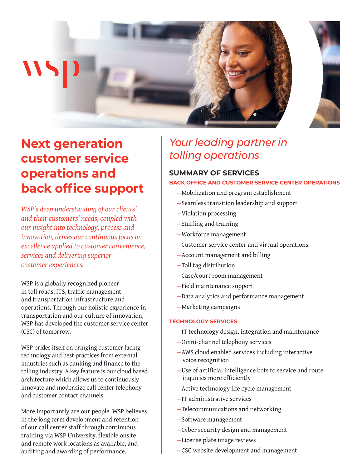



# **Next generation customer service operations and back office support**

*WSP's deep understanding of our clients' and their customers' needs, coupled with our insight into technology, process and innovation, drives our continuous focus on excellence applied to customer convenience, services and delivering superior customer experiences.*

WSP is a globally recognized pioneer in toll roads, ITS, traffic management and transportation infrastructure and operations. Through our holistic experience in transportation and our culture of innovation, WSP has developed the customer service center (CSC) of tomorrow.

WSP prides itself on bringing customer facing technology and best practices from external industries such as banking and finance to the tolling industry. A key feature is our cloud based architecture which allows us to continuously innovate and modernize call center telephony and customer contact channels.

More importantly are our people. WSP believes in the long term development and retention of our call center staff through continuous training via WSP University, flexible onsite and remote work locations as available, and auditing and awarding of performance.

## *Your leading partner in tolling operations*

## **SUMMARY OF SERVICES**

### **BACK OFFICE AND CUSTOMER SERVICE CENTER OPERATIONS**

- —Mobilization and program establishment
- —Seamless transition leadership and support
- —Violation processing
- —Staffing and training
- —Workforce management
- —Customer service center and virtual operations
- —Account management and billing
- —Toll tag distribution
- —Case/court room management
- —Field maintenance support
- —Data analytics and performance management
- —Marketing campaigns

## **TECHNOLOGY SERVICES**

- —IT technology design, integration and maintenance
- —Omni-channel telephony services
- —AWS cloud enabled services including interactive voice recognition
- —Use of artificial intelligence bots to service and route inquiries more efficiently
- —Active technology life cycle management
- —IT administrative services
- —Telecommunications and networking
- —Software management
- —Cyber security design and management
- —License plate image reviews
- —CSC website development and management